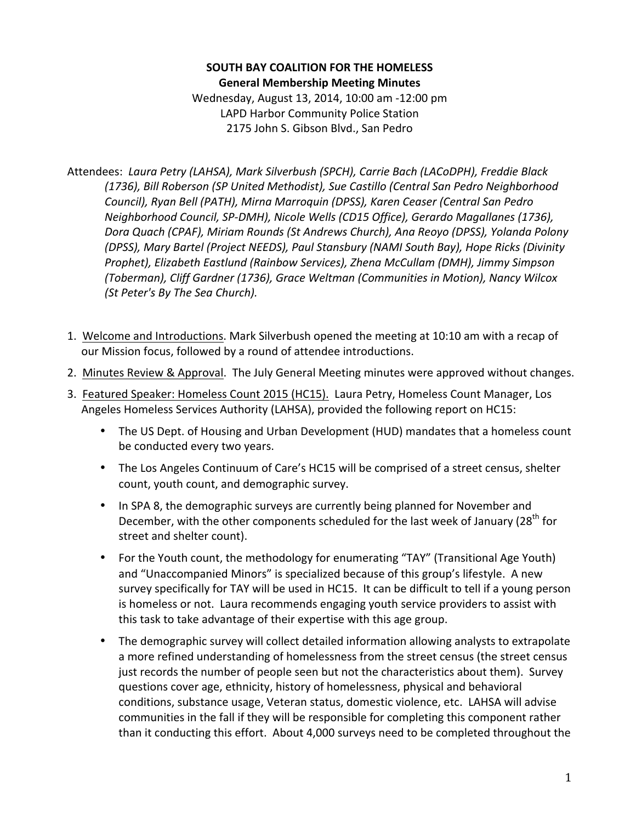## **SOUTH BAY COALITION FOR THE HOMELESS General Membership Meeting Minutes**

Wednesday, August 13, 2014, 10:00 am -12:00 pm LAPD Harbor Community Police Station 2175 John S. Gibson Blvd., San Pedro

Attendees: Laura Petry (LAHSA), Mark Silverbush (SPCH), Carrie Bach (LACoDPH), Freddie Black (1736), Bill Roberson (SP United Methodist), Sue Castillo (Central San Pedro Neighborhood *Council), Ryan Bell (PATH), Mirna Marroquin (DPSS), Karen Ceaser (Central San Pedro Neighborhood Council, SP-DMH), Nicole Wells (CD15 Office), Gerardo Magallanes (1736),* Dora Quach (CPAF), Miriam Rounds (St Andrews Church), Ana Reoyo (DPSS), Yolanda Polony *(DPSS), Mary Bartel (Project NEEDS), Paul Stansbury (NAMI South Bay), Hope Ricks (Divinity Prophet), Elizabeth Eastlund (Rainbow Services), Zhena McCullam (DMH), Jimmy Simpson (Toberman), Cliff Gardner (1736), Grace Weltman (Communities in Motion), Nancy Wilcox (St Peter's By The Sea Church).* 

- 1. Welcome and Introductions. Mark Silverbush opened the meeting at 10:10 am with a recap of our Mission focus, followed by a round of attendee introductions.
- 2. Minutes Review & Approval. The July General Meeting minutes were approved without changes.
- 3. Featured Speaker: Homeless Count 2015 (HC15). Laura Petry, Homeless Count Manager, Los Angeles Homeless Services Authority (LAHSA), provided the following report on HC15:
	- The US Dept. of Housing and Urban Development (HUD) mandates that a homeless count be conducted every two years.
	- The Los Angeles Continuum of Care's HC15 will be comprised of a street census, shelter count, youth count, and demographic survey.
	- In SPA 8, the demographic surveys are currently being planned for November and December, with the other components scheduled for the last week of January (28<sup>th</sup> for street and shelter count).
	- For the Youth count, the methodology for enumerating "TAY" (Transitional Age Youth) and "Unaccompanied Minors" is specialized because of this group's lifestyle. A new survey specifically for TAY will be used in HC15. It can be difficult to tell if a young person is homeless or not. Laura recommends engaging youth service providers to assist with this task to take advantage of their expertise with this age group.
	- The demographic survey will collect detailed information allowing analysts to extrapolate a more refined understanding of homelessness from the street census (the street census just records the number of people seen but not the characteristics about them). Survey questions cover age, ethnicity, history of homelessness, physical and behavioral conditions, substance usage, Veteran status, domestic violence, etc. LAHSA will advise communities in the fall if they will be responsible for completing this component rather than it conducting this effort. About 4,000 surveys need to be completed throughout the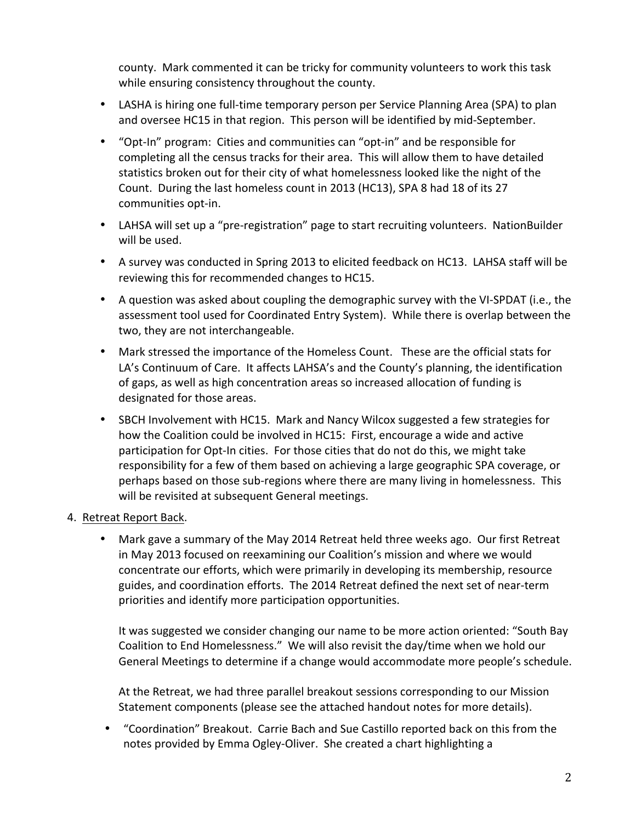county. Mark commented it can be tricky for community volunteers to work this task while ensuring consistency throughout the county.

- LASHA is hiring one full-time temporary person per Service Planning Area (SPA) to plan and oversee HC15 in that region. This person will be identified by mid-September.
- "Opt-In" program: Cities and communities can "opt-in" and be responsible for completing all the census tracks for their area. This will allow them to have detailed statistics broken out for their city of what homelessness looked like the night of the Count. During the last homeless count in 2013 (HC13), SPA 8 had 18 of its 27 communities opt-in.
- LAHSA will set up a "pre-registration" page to start recruiting volunteers. NationBuilder will be used.
- A survey was conducted in Spring 2013 to elicited feedback on HC13. LAHSA staff will be reviewing this for recommended changes to HC15.
- A question was asked about coupling the demographic survey with the VI-SPDAT (i.e., the assessment tool used for Coordinated Entry System). While there is overlap between the two, they are not interchangeable.
- Mark stressed the importance of the Homeless Count. These are the official stats for LA's Continuum of Care. It affects LAHSA's and the County's planning, the identification of gaps, as well as high concentration areas so increased allocation of funding is designated for those areas.
- SBCH Involvement with HC15. Mark and Nancy Wilcox suggested a few strategies for how the Coalition could be involved in HC15: First, encourage a wide and active participation for Opt-In cities. For those cities that do not do this, we might take responsibility for a few of them based on achieving a large geographic SPA coverage, or perhaps based on those sub-regions where there are many living in homelessness. This will be revisited at subsequent General meetings.

## 4. Retreat Report Back.

• Mark gave a summary of the May 2014 Retreat held three weeks ago. Our first Retreat in May 2013 focused on reexamining our Coalition's mission and where we would concentrate our efforts, which were primarily in developing its membership, resource guides, and coordination efforts. The 2014 Retreat defined the next set of near-term priorities and identify more participation opportunities.

It was suggested we consider changing our name to be more action oriented: "South Bay Coalition to End Homelessness." We will also revisit the day/time when we hold our General Meetings to determine if a change would accommodate more people's schedule.

At the Retreat, we had three parallel breakout sessions corresponding to our Mission Statement components (please see the attached handout notes for more details).

• "Coordination" Breakout. Carrie Bach and Sue Castillo reported back on this from the notes provided by Emma Ogley-Oliver. She created a chart highlighting a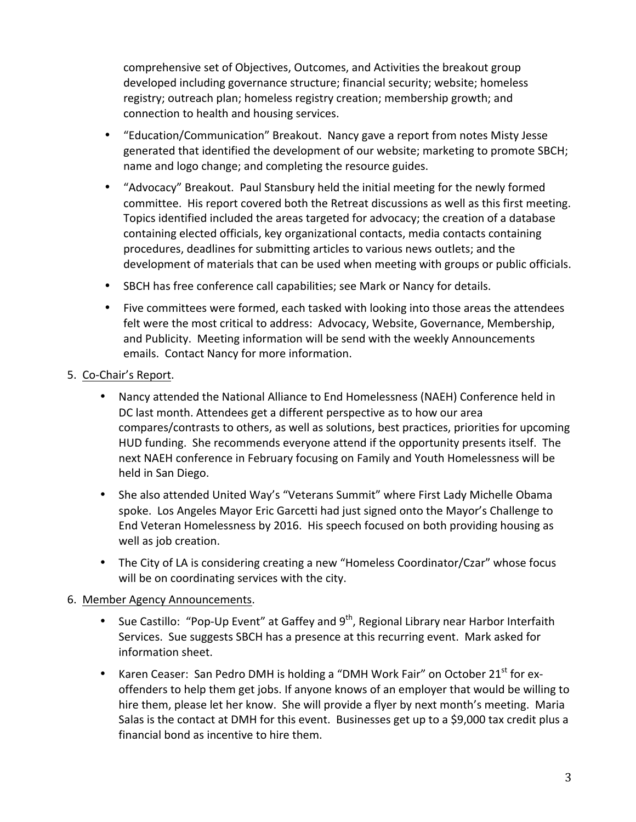comprehensive set of Objectives, Outcomes, and Activities the breakout group developed including governance structure; financial security; website; homeless registry; outreach plan; homeless registry creation; membership growth; and connection to health and housing services.

- "Education/Communication" Breakout. Nancy gave a report from notes Misty Jesse generated that identified the development of our website; marketing to promote SBCH; name and logo change; and completing the resource guides.
- "Advocacy" Breakout. Paul Stansbury held the initial meeting for the newly formed committee. His report covered both the Retreat discussions as well as this first meeting. Topics identified included the areas targeted for advocacy; the creation of a database containing elected officials, key organizational contacts, media contacts containing procedures, deadlines for submitting articles to various news outlets; and the development of materials that can be used when meeting with groups or public officials.
- SBCH has free conference call capabilities; see Mark or Nancy for details.
- Five committees were formed, each tasked with looking into those areas the attendees felt were the most critical to address: Advocacy, Website, Governance, Membership, and Publicity. Meeting information will be send with the weekly Announcements emails. Contact Nancy for more information.
- 5. Co-Chair's Report.
	- Nancy attended the National Alliance to End Homelessness (NAEH) Conference held in DC last month. Attendees get a different perspective as to how our area compares/contrasts to others, as well as solutions, best practices, priorities for upcoming HUD funding. She recommends everyone attend if the opportunity presents itself. The next NAEH conference in February focusing on Family and Youth Homelessness will be held in San Diego.
	- She also attended United Way's "Veterans Summit" where First Lady Michelle Obama spoke. Los Angeles Mayor Eric Garcetti had just signed onto the Mayor's Challenge to End Veteran Homelessness by 2016. His speech focused on both providing housing as well as job creation.
	- The City of LA is considering creating a new "Homeless Coordinator/Czar" whose focus will be on coordinating services with the city.

## 6. Member Agency Announcements.

- Sue Castillo: "Pop-Up Event" at Gaffey and 9<sup>th</sup>, Regional Library near Harbor Interfaith Services. Sue suggests SBCH has a presence at this recurring event. Mark asked for information sheet.
- Karen Ceaser: San Pedro DMH is holding a "DMH Work Fair" on October 21<sup>st</sup> for exoffenders to help them get jobs. If anyone knows of an employer that would be willing to hire them, please let her know. She will provide a flyer by next month's meeting. Maria Salas is the contact at DMH for this event. Businesses get up to a \$9,000 tax credit plus a financial bond as incentive to hire them.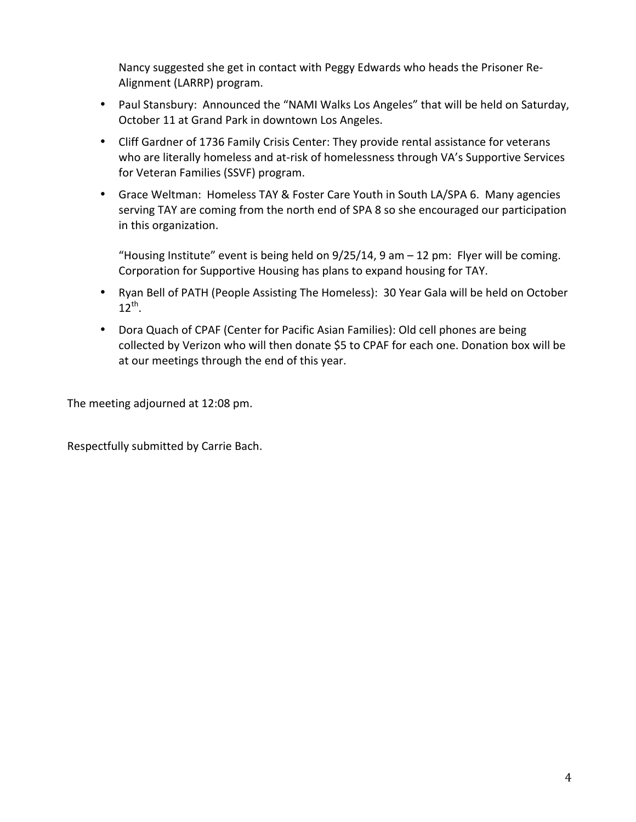Nancy suggested she get in contact with Peggy Edwards who heads the Prisoner Re-Alignment (LARRP) program.

- Paul Stansbury: Announced the "NAMI Walks Los Angeles" that will be held on Saturday, October 11 at Grand Park in downtown Los Angeles.
- Cliff Gardner of 1736 Family Crisis Center: They provide rental assistance for veterans who are literally homeless and at-risk of homelessness through VA's Supportive Services for Veteran Families (SSVF) program.
- Grace Weltman: Homeless TAY & Foster Care Youth in South LA/SPA 6. Many agencies serving TAY are coming from the north end of SPA 8 so she encouraged our participation in this organization.

"Housing Institute" event is being held on  $9/25/14$ , 9 am  $-12$  pm: Flyer will be coming. Corporation for Supportive Housing has plans to expand housing for TAY.

- Ryan Bell of PATH (People Assisting The Homeless): 30 Year Gala will be held on October  $12^{th}$ .
- Dora Quach of CPAF (Center for Pacific Asian Families): Old cell phones are being collected by Verizon who will then donate \$5 to CPAF for each one. Donation box will be at our meetings through the end of this year.

The meeting adjourned at 12:08 pm.

Respectfully submitted by Carrie Bach.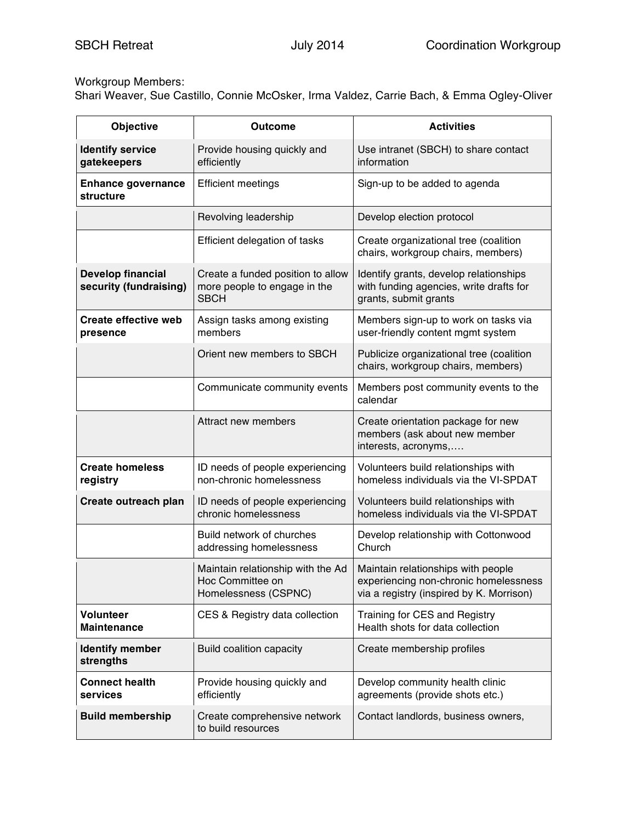# Workgroup Members:

Shari Weaver, Sue Castillo, Connie McOsker, Irma Valdez, Carrie Bach, & Emma Ogley-Oliver

| <b>Objective</b>                                   | <b>Outcome</b>                                                                   | <b>Activities</b>                                                                                                       |
|----------------------------------------------------|----------------------------------------------------------------------------------|-------------------------------------------------------------------------------------------------------------------------|
| <b>Identify service</b><br>gatekeepers             | Provide housing quickly and<br>efficiently                                       | Use intranet (SBCH) to share contact<br>information                                                                     |
| <b>Enhance governance</b><br>structure             | <b>Efficient meetings</b>                                                        | Sign-up to be added to agenda                                                                                           |
|                                                    | Revolving leadership                                                             | Develop election protocol                                                                                               |
|                                                    | Efficient delegation of tasks                                                    | Create organizational tree (coalition<br>chairs, workgroup chairs, members)                                             |
| <b>Develop financial</b><br>security (fundraising) | Create a funded position to allow<br>more people to engage in the<br><b>SBCH</b> | Identify grants, develop relationships<br>with funding agencies, write drafts for<br>grants, submit grants              |
| <b>Create effective web</b><br>presence            | Assign tasks among existing<br>members                                           | Members sign-up to work on tasks via<br>user-friendly content mgmt system                                               |
|                                                    | Orient new members to SBCH                                                       | Publicize organizational tree (coalition<br>chairs, workgroup chairs, members)                                          |
|                                                    | Communicate community events                                                     | Members post community events to the<br>calendar                                                                        |
|                                                    | Attract new members                                                              | Create orientation package for new<br>members (ask about new member<br>interests, acronyms,                             |
| <b>Create homeless</b><br>registry                 | ID needs of people experiencing<br>non-chronic homelessness                      | Volunteers build relationships with<br>homeless individuals via the VI-SPDAT                                            |
| Create outreach plan                               | ID needs of people experiencing<br>chronic homelessness                          | Volunteers build relationships with<br>homeless individuals via the VI-SPDAT                                            |
|                                                    | Build network of churches<br>addressing homelessness                             | Develop relationship with Cottonwood<br>Church                                                                          |
|                                                    | Maintain relationship with the Ad<br>Hoc Committee on<br>Homelessness (CSPNC)    | Maintain relationships with people<br>experiencing non-chronic homelessness<br>via a registry (inspired by K. Morrison) |
| <b>Volunteer</b><br><b>Maintenance</b>             | CES & Registry data collection                                                   | Training for CES and Registry<br>Health shots for data collection                                                       |
| <b>Identify member</b><br>strengths                | <b>Build coalition capacity</b>                                                  | Create membership profiles                                                                                              |
| <b>Connect health</b><br>services                  | Provide housing quickly and<br>efficiently                                       | Develop community health clinic<br>agreements (provide shots etc.)                                                      |
| <b>Build membership</b>                            | Create comprehensive network<br>to build resources                               | Contact landlords, business owners,                                                                                     |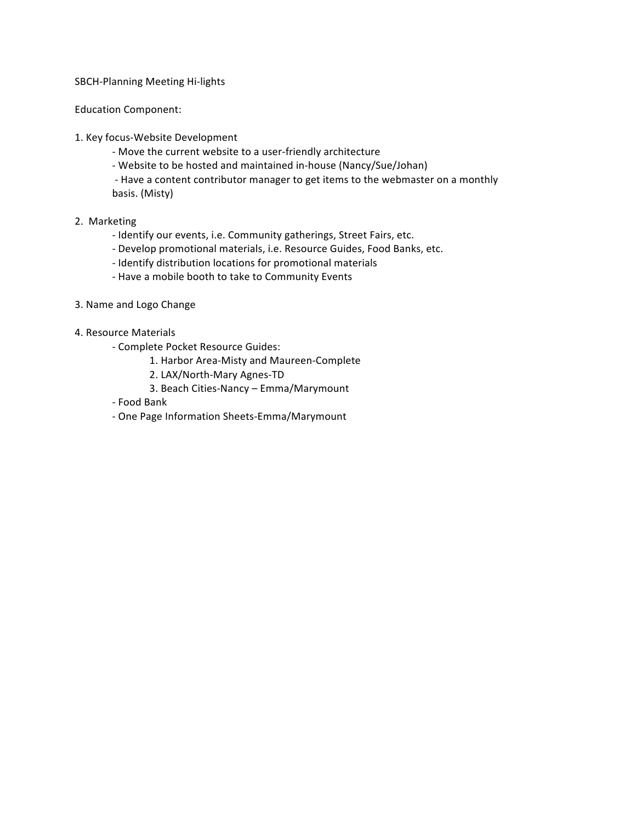### SBCH-Planning Meeting Hi-lights

Education Component:

- 1. Key focus-Website Development
	- Move the current website to a user-friendly architecture
	- Website to be hosted and maintained in-house (Nancy/Sue/Johan)

- Have a content contributor manager to get items to the webmaster on a monthly basis. (Misty)

### 2. Marketing

- Identify our events, i.e. Community gatherings, Street Fairs, etc.
- Develop promotional materials, i.e. Resource Guides, Food Banks, etc.
- Identify distribution locations for promotional materials
- Have a mobile booth to take to Community Events
- 3. Name and Logo Change
- 4. Resource Materials
	- Complete Pocket Resource Guides:
		- 1. Harbor Area-Misty and Maureen-Complete
		- 2. LAX/North-Mary Agnes-TD
		- 3. Beach Cities-Nancy Emma/Marymount
	- Food Bank
	- One Page Information Sheets-Emma/Marymount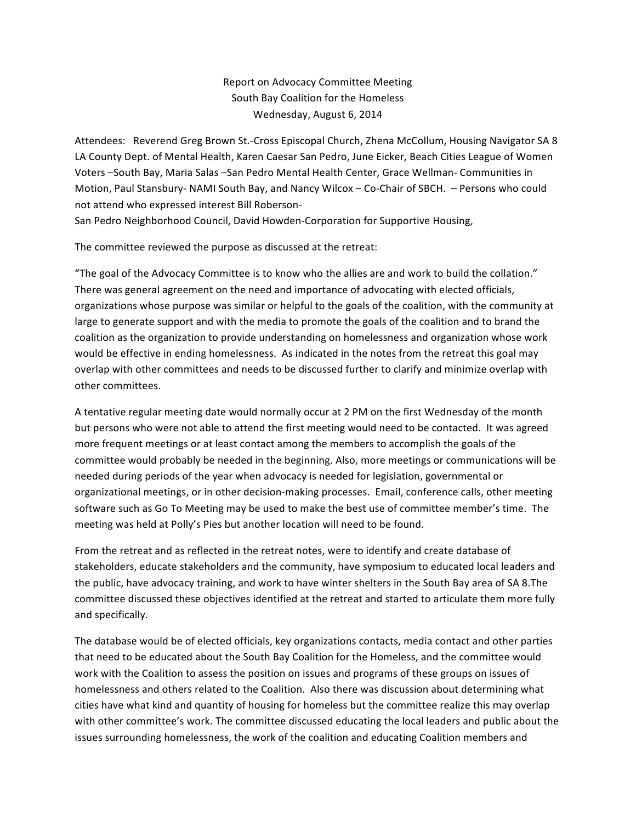## Report on Advocacy Committee Meeting South Bay Coalition for the Homeless Wednesday, August 6, 2014

Attendees: Reverend Greg Brown St.-Cross Episcopal Church, Zhena McCollum, Housing Navigator SA 8 LA County Dept. of Mental Health, Karen Caesar San Pedro, June Eicker, Beach Cities League of Women Voters -South Bay, Maria Salas -San Pedro Mental Health Center, Grace Wellman- Communities in Motion, Paul Stansbury- NAMI South Bay, and Nancy Wilcox - Co-Chair of SBCH. - Persons who could not attend who expressed interest Bill Roberson-

San Pedro Neighborhood Council, David Howden-Corporation for Supportive Housing,

The committee reviewed the purpose as discussed at the retreat:

"The goal of the Advocacy Committee is to know who the allies are and work to build the collation." There was general agreement on the need and importance of advocating with elected officials, organizations whose purpose was similar or helpful to the goals of the coalition, with the community at large to generate support and with the media to promote the goals of the coalition and to brand the coalition as the organization to provide understanding on homelessness and organization whose work would be effective in ending homelessness. As indicated in the notes from the retreat this goal may overlap with other committees and needs to be discussed further to clarify and minimize overlap with other committees.

A tentative regular meeting date would normally occur at 2 PM on the first Wednesday of the month but persons who were not able to attend the first meeting would need to be contacted. It was agreed more frequent meetings or at least contact among the members to accomplish the goals of the committee would probably be needed in the beginning. Also, more meetings or communications will be needed during periods of the year when advocacy is needed for legislation, governmental or organizational meetings, or in other decision-making processes. Email, conference calls, other meeting software such as Go To Meeting may be used to make the best use of committee member's time. The meeting was held at Polly's Pies but another location will need to be found.

From the retreat and as reflected in the retreat notes, were to identify and create database of stakeholders, educate stakeholders and the community, have symposium to educated local leaders and the public, have advocacy training, and work to have winter shelters in the South Bay area of SA 8.The committee discussed these objectives identified at the retreat and started to articulate them more fully and specifically.

The database would be of elected officials, key organizations contacts, media contact and other parties that need to be educated about the South Bay Coalition for the Homeless, and the committee would work with the Coalition to assess the position on issues and programs of these groups on issues of homelessness and others related to the Coalition. Also there was discussion about determining what cities have what kind and quantity of housing for homeless but the committee realize this may overlap with other committee's work. The committee discussed educating the local leaders and public about the issues surrounding homelessness, the work of the coalition and educating Coalition members and